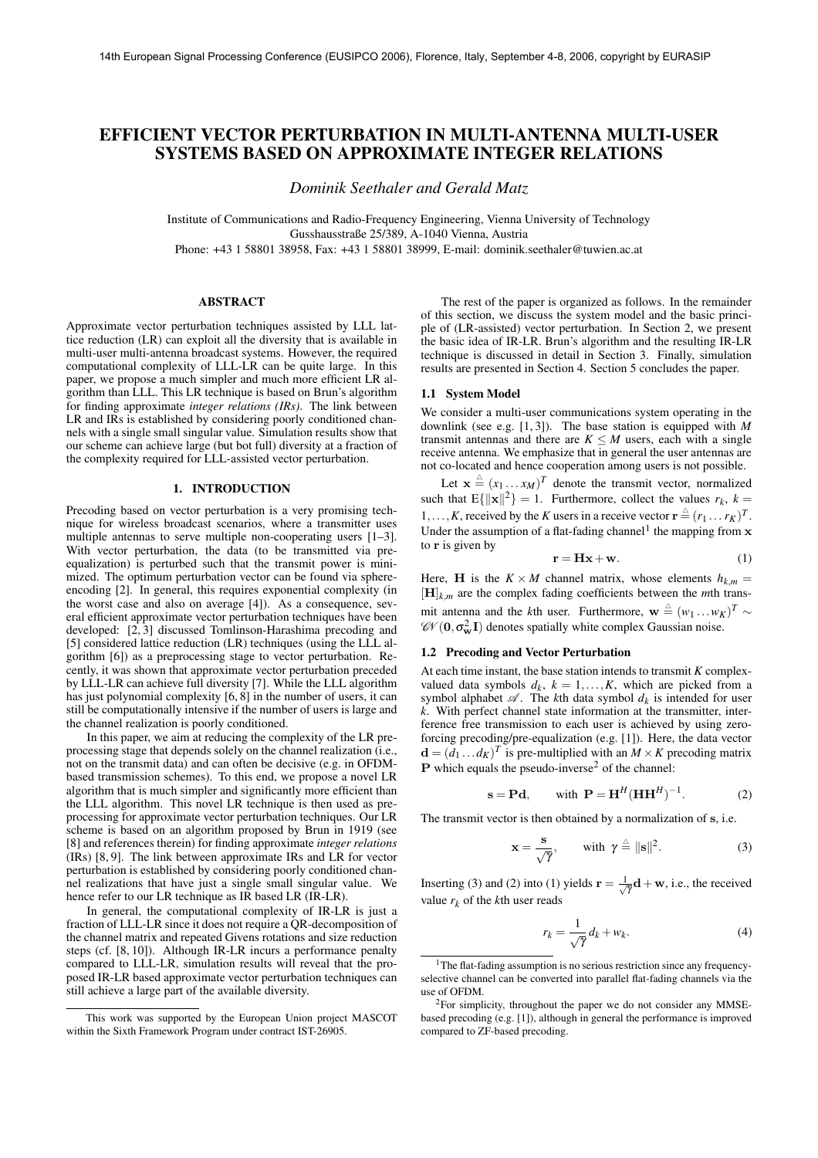# **EFFICIENT VECTOR PERTURBATION IN MULTI-ANTENNA MULTI-USER SYSTEMS BASED ON APPROXIMATE INTEGER RELATIONS**

*Dominik Seethaler and Gerald Matz*

Institute of Communications and Radio-Frequency Engineering, Vienna University of Technology Gusshausstraße 25/389, A-1040 Vienna, Austria

Phone: +43 1 58801 38958, Fax: +43 1 58801 38999, E-mail: dominik.seethaler@tuwien.ac.at

# **ABSTRACT**

Approximate vector perturbation techniques assisted by LLL lattice reduction (LR) can exploit all the diversity that is available in multi-user multi-antenna broadcast systems. However, the required computational complexity of LLL-LR can be quite large. In this paper, we propose a much simpler and much more efficient LR algorithm than LLL. This LR technique is based on Brun's algorithm for finding approximate *integer relations (IRs)*. The link between LR and IRs is established by considering poorly conditioned channels with a single small singular value. Simulation results show that our scheme can achieve large (but bot full) diversity at a fraction of the complexity required for LLL-assisted vector perturbation.

# **1. INTRODUCTION**

Precoding based on vector perturbation is a very promising technique for wireless broadcast scenarios, where a transmitter uses multiple antennas to serve multiple non-cooperating users [1–3]. With vector perturbation, the data (to be transmitted via preequalization) is perturbed such that the transmit power is minimized. The optimum perturbation vector can be found via sphereencoding [2]. In general, this requires exponential complexity (in the worst case and also on average [4]). As a consequence, several efficient approximate vector perturbation techniques have been developed: [2, 3] discussed Tomlinson-Harashima precoding and [5] considered lattice reduction (LR) techniques (using the LLL algorithm [6]) as a preprocessing stage to vector perturbation. Recently, it was shown that approximate vector perturbation preceded by LLL-LR can achieve full diversity [7]. While the LLL algorithm has just polynomial complexity [6, 8] in the number of users, it can still be computationally intensive if the number of users is large and the channel realization is poorly conditioned.

In this paper, we aim at reducing the complexity of the LR preprocessing stage that depends solely on the channel realization (i.e., not on the transmit data) and can often be decisive (e.g. in OFDMbased transmission schemes). To this end, we propose a novel LR algorithm that is much simpler and significantly more efficient than the LLL algorithm. This novel LR technique is then used as preprocessing for approximate vector perturbation techniques. Our LR scheme is based on an algorithm proposed by Brun in 1919 (see [8] and references therein) for finding approximate *integer relations* (IRs) [8, 9]. The link between approximate IRs and LR for vector perturbation is established by considering poorly conditioned channel realizations that have just a single small singular value. We hence refer to our LR technique as IR based LR (IR-LR).

In general, the computational complexity of IR-LR is just a fraction of LLL-LR since it does not require a QR-decomposition of the channel matrix and repeated Givens rotations and size reduction steps (cf. [8, 10]). Although IR-LR incurs a performance penalty compared to LLL-LR, simulation results will reveal that the proposed IR-LR based approximate vector perturbation techniques can still achieve a large part of the available diversity.

The rest of the paper is organized as follows. In the remainder of this section, we discuss the system model and the basic principle of (LR-assisted) vector perturbation. In Section 2, we present the basic idea of IR-LR. Brun's algorithm and the resulting IR-LR technique is discussed in detail in Section 3. Finally, simulation results are presented in Section 4. Section 5 concludes the paper.

## **1.1 System Model**

We consider a multi-user communications system operating in the downlink (see e.g. [1, 3]). The base station is equipped with *M* transmit antennas and there are  $K \leq M$  users, each with a single receive antenna. We emphasize that in general the user antennas are not co-located and hence cooperation among users is not possible.

Let  $\mathbf{x} \triangleq (x_1 \dots x_M)^T$  denote the transmit vector, normalized such that  $E\{\|\mathbf{x}\|^2\} = 1$ . Furthermore, collect the values  $r_k$ ,  $k =$ 1,...,*K*, received by the *K* users in a receive vector  $\mathbf{r} \triangleq (r_1 \dots r_K)^T$ . Under the assumption of a flat-fading channel<sup>1</sup> the mapping from  $x$ to r is given by

$$
\mathbf{r} = \mathbf{H}\mathbf{x} + \mathbf{w}.\tag{1}
$$

Here, **H** is the  $K \times M$  channel matrix, whose elements  $h_{k,m}$  =  $[H]_{k,m}$  are the complex fading coefficients between the *m*th transmit antenna and the *k*th user. Furthermore,  $\mathbf{w} \triangleq (w_1 \dots w_K)^T \sim$  $\mathscr{C} \mathscr{V}(\mathbf{0}, \sigma_{\mathbf{w}}^2 \mathbf{I})$  denotes spatially white complex Gaussian noise.

# **1.2 Precoding and Vector Perturbation**

At each time instant, the base station intends to transmit *K* complexvalued data symbols  $d_k$ ,  $k = 1,...,K$ , which are picked from a symbol alphabet  $\mathscr A$ . The *k*th data symbol  $d_k$  is intended for user *k*. With perfect channel state information at the transmitter, interference free transmission to each user is achieved by using zeroforcing precoding/pre-equalization (e.g. [1]). Here, the data vector  $\mathbf{d} = (d_1 \dots d_K)^T$  is pre-multiplied with an  $M \times K$  precoding matrix **P** which equals the pseudo-inverse<sup>2</sup> of the channel:

$$
\mathbf{s} = \mathbf{P}\mathbf{d}, \qquad \text{with } \mathbf{P} = \mathbf{H}^H (\mathbf{H}\mathbf{H}^H)^{-1}.
$$
 (2)

The transmit vector is then obtained by a normalization of s, i.e.

$$
\mathbf{x} = \frac{\mathbf{s}}{\sqrt{\gamma}}, \qquad \text{with } \gamma \stackrel{\scriptscriptstyle \triangle}{=} ||\mathbf{s}||^2. \tag{3}
$$

Inserting (3) and (2) into (1) yields  $\mathbf{r} = \frac{1}{\sqrt{\gamma}} \mathbf{d} + \mathbf{w}$ , i.e., the received value  $r_k$  of the *k*th user reads

$$
r_k = \frac{1}{\sqrt{\gamma}} d_k + w_k. \tag{4}
$$

This work was supported by the European Union project MASCOT within the Sixth Framework Program under contract IST-26905.

<sup>&</sup>lt;sup>1</sup>The flat-fading assumption is no serious restriction since any frequencyselective channel can be converted into parallel flat-fading channels via the use of OFDM.

<sup>2</sup>For simplicity, throughout the paper we do not consider any MMSEbased precoding (e.g. [1]), although in general the performance is improved compared to ZF-based precoding.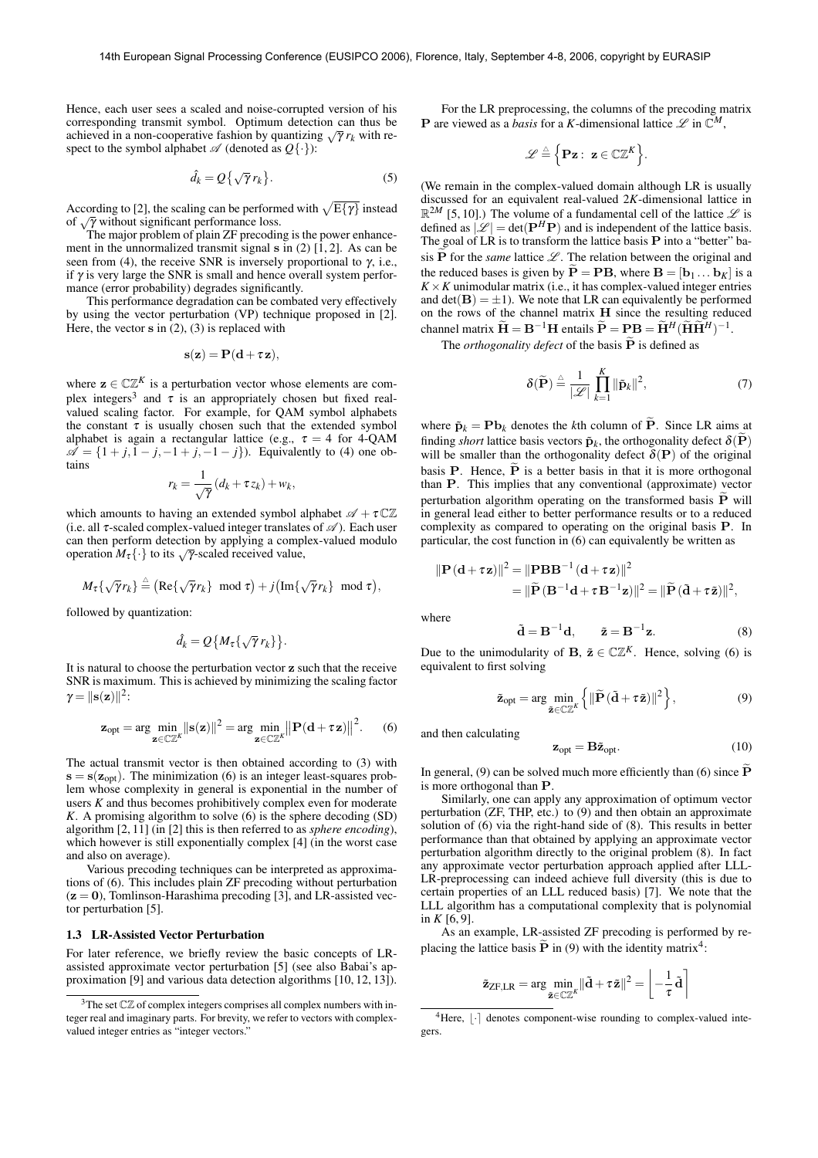Hence, each user sees a scaled and noise-corrupted version of his corresponding transmit symbol. Optimum detection can thus be achieved in a non-cooperative fashion by quantizing  $\sqrt{\gamma} r_k$  with respect to the symbol alphabet  $\mathscr A$  (denoted as  $Q\{\cdot\}$ ):

$$
\hat{d}_k = Q\left\{\sqrt{\gamma} r_k\right\}.
$$
 (5)

According to [2], the scaling can be performed with  $\sqrt{E\{\gamma\}}$  instead of  $\sqrt{\gamma}$  without significant performance loss.

The major problem of plain ZF precoding is the power enhancement in the unnormalized transmit signal  $\bf{s}$  in (2) [1, 2]. As can be seen from (4), the receive SNR is inversely proportional to  $\gamma$ , i.e., if  $\gamma$  is very large the SNR is small and hence overall system performance (error probability) degrades significantly.

This performance degradation can be combated very effectively by using the vector perturbation (VP) technique proposed in [2]. Here, the vector  $s$  in (2), (3) is replaced with

$$
s(z) = P(d + \tau z),
$$

where  $z \in \mathbb{C} \mathbb{Z}^K$  is a perturbation vector whose elements are complex integers<sup>3</sup> and  $\tau$  is an appropriately chosen but fixed realvalued scaling factor. For example, for QAM symbol alphabets the constant  $\tau$  is usually chosen such that the extended symbol alphabet is again a rectangular lattice (e.g.,  $\tau = 4$  for 4-QAM  $\mathscr{A} = \{1 + j, 1 - j, -1 + j, -1 - j\}$ . Equivalently to (4) one obtains

$$
r_k = \frac{1}{\sqrt{\gamma}} (d_k + \tau z_k) + w_k,
$$

which amounts to having an extended symbol alphabet  $\mathscr{A} + \tau \mathbb{C} \mathbb{Z}$ (i.e. all  $\tau$ -scaled complex-valued integer translates of  $\mathscr A$ ). Each user can then perform detection by applying a complex-valued modulo operation  $M_{\tau}$  { · } to its  $\sqrt{\gamma}$ -scaled received value,

$$
M_{\tau}\{\sqrt{\gamma}r_k\}\stackrel{\triangle}{=} \big({\rm Re}\{\sqrt{\gamma}r_k\}\!\!\mod\tau\big)+j\big({\rm Im}\{\sqrt{\gamma}r_k\}\!\!\mod\tau\big),
$$

followed by quantization:

$$
\hat{d}_k = Q\big\{M_{\tau}\{\sqrt{\gamma}r_k\}\big\}.
$$

It is natural to choose the perturbation vector z such that the receive SNR is maximum. Thisis achieved by minimizing the scaling factor  $\gamma = ||\mathbf{s}(\mathbf{z})||^2$ :

$$
\mathbf{z}_{\mathrm{opt}} = \arg \min_{\mathbf{z} \in \mathbb{C}\mathbb{Z}^K} ||\mathbf{s}(\mathbf{z})||^2 = \arg \min_{\mathbf{z} \in \mathbb{C}\mathbb{Z}^K} ||\mathbf{P}(\mathbf{d} + \tau \mathbf{z})||^2.
$$
 (6)

The actual transmit vector is then obtained according to (3) with  $s = s(z<sub>ont</sub>)$ . The minimization (6) is an integer least-squares problem whose complexity in general is exponential in the number of users *K* and thus becomes prohibitively complex even for moderate *K*. A promising algorithm to solve (6) is the sphere decoding (SD) algorithm [2, 11] (in [2] this is then referred to as *sphere encoding*), which however is still exponentially complex [4] (in the worst case and also on average).

Various precoding techniques can be interpreted as approximations of (6). This includes plain ZF precoding without perturbation  $(z = 0)$ , Tomlinson-Harashima precoding [3], and LR-assisted vector perturbation [5].

## **1.3 LR-Assisted Vector Perturbation**

For later reference, we briefly review the basic concepts of LRassisted approximate vector perturbation [5] (see also Babai's approximation [9] and various data detection algorithms [10, 12, 13]).

For the LR preprocessing, the columns of the precoding matrix **P** are viewed as a *basis* for a *K*-dimensional lattice  $\mathscr{L}$  in  $\mathbb{C}^M$ ,

$$
\mathscr{L}\stackrel{\scriptscriptstyle\triangle}{=}\Big\{\mathbf{P}\mathbf{z}:\ \mathbf{z}\in\mathbb{C}\mathbb{Z}^K\Big\}.
$$

(We remain in the complex-valued domain although LR is usually discussed for an equivalent real-valued 2*K*-dimensional lattice in  $\mathbb{R}^{2M}$  [5, 10].) The volume of a fundamental cell of the lattice  $\mathscr{L}$  is defined as  $\mathcal{L}$  = det( $\mathbf{P}^H \mathbf{P}$ ) and is independent of the lattice basis.<br>The goal of LR is to transform the lattice basis **P** into a "better" basis **P** for the *same* lattice  $\mathcal{L}$ . The relation between the original and the reduced bases is given by  $P = PB$ , where  $B = [b_1 \dots b_K]$  is a  $K \times K$  unimodular matrix (i.e., it has complex-valued integer entries and  $det(\mathbf{B}) = \pm 1$ ). We note that LR can equivalently be performed on the rows of the channel matrix H since the resulting reduced channel matrix  $\widetilde{\mathbf{H}} = \mathbf{B}^{-1} \mathbf{H}$  entails  $\widetilde{\mathbf{P}} = \mathbf{P} \mathbf{B} = \widetilde{\mathbf{H}}^H (\widetilde{\mathbf{H}} \widetilde{\mathbf{H}}^H)^{-1}$ .

The *orthogonality defect* of the basis  $\tilde{P}$  is defined as

$$
\delta(\widetilde{\mathbf{P}}) \stackrel{\Delta}{=} \frac{1}{|\mathscr{L}|} \prod_{k=1}^{K} ||\widetilde{\mathbf{p}}_k||^2, \tag{7}
$$

where  $\tilde{\mathbf{p}}_k = \mathbf{P} \mathbf{b}_k$  denotes the *k*th column of  $\tilde{\mathbf{P}}$ . Since LR aims at finding *short* lattice basis vectors  $\tilde{\mathbf{p}}_k$ , the orthogonality defect  $\delta(\mathbf{P})$ will be smaller than the orthogonality defect  $\delta(P)$  of the original basis **P**. Hence,  $\tilde{P}$  is a better basis in that it is more orthogonal than P. This implies that any conventional (approximate) vector perturbation algorithm operating on the transformed basis  $\overrightarrow{P}$  will in general lead either to better performance results or to a reduced complexity as compared to operating on the original basis P. In particular, the cost function in (6) can equivalently be written as

$$
\|\mathbf{P}(\mathbf{d} + \tau \mathbf{z})\|^2 = \|\mathbf{P} \mathbf{B} \mathbf{B}^{-1}(\mathbf{d} + \tau \mathbf{z})\|^2
$$
  
=\|\widetilde{\mathbf{P}}(\mathbf{B}^{-1}\mathbf{d} + \tau \mathbf{B}^{-1}\mathbf{z})\|^2 = \|\widetilde{\mathbf{P}}(\widetilde{\mathbf{d}} + \tau \widetilde{\mathbf{z}})\|^2,

where

$$
\tilde{\mathbf{d}} = \mathbf{B}^{-1}\mathbf{d}, \qquad \tilde{\mathbf{z}} = \mathbf{B}^{-1}\mathbf{z}.
$$
 (8)

Due to the unimodularity of **B**,  $\tilde{\mathbf{z}} \in \mathbb{C}\mathbb{Z}^K$ . Hence, solving (6) is equivalent to first solving

$$
\tilde{\mathbf{z}}_{\text{opt}} = \arg \min_{\tilde{\mathbf{z}} \in \mathbb{C}\mathbb{Z}^K} \left\{ \|\widetilde{\mathbf{P}}\left(\tilde{\mathbf{d}} + \tau \tilde{\mathbf{z}}\right)\|^2 \right\},\tag{9}
$$

and then calculating

$$
\mathbf{z}_{opt} = \mathbf{B}\tilde{\mathbf{z}}_{opt}.\tag{10}
$$

In general, (9) can be solved much more efficiently than (6) since  $\tilde{\mathbf{P}}$ is more orthogonal than P.

Similarly, one can apply any approximation of optimum vector perturbation (ZF, THP, etc.) to (9) and then obtain an approximate solution of (6) via the right-hand side of (8). This results in better performance than that obtained by applying an approximate vector perturbation algorithm directly to the original problem (8). In fact any approximate vector perturbation approach applied after LLL-LR-preprocessing can indeed achieve full diversity (this is due to certain properties of an LLL reduced basis) [7]. We note that the LLL algorithm has a computational complexity that is polynomial in  $K$  [6, 9].

As an example, LR-assisted ZF precoding is performed by replacing the lattice basis  $\tilde{P}$  in (9) with the identity matrix<sup>4</sup>:

$$
\tilde{\mathbf{z}}_{ZF,LR} = \arg\min_{\tilde{\mathbf{z}}\in \mathbb{C}\mathbb{Z}^K} \lVert \tilde{\mathbf{d}} + \tau \tilde{\mathbf{z}} \rVert^2 = \left\lfloor -\frac{1}{\tau} \tilde{\mathbf{d}} \right\rceil
$$

 $3$ The set  $\mathbb{C}\mathbb{Z}$  of complex integers comprises all complex numbers with integer real and imaginary parts. For brevity, we refer to vectors with complexvalued integer entries as "integer vectors."

<sup>&</sup>lt;sup>4</sup>Here,  $|\cdot|$  denotes component-wise rounding to complex-valued integers.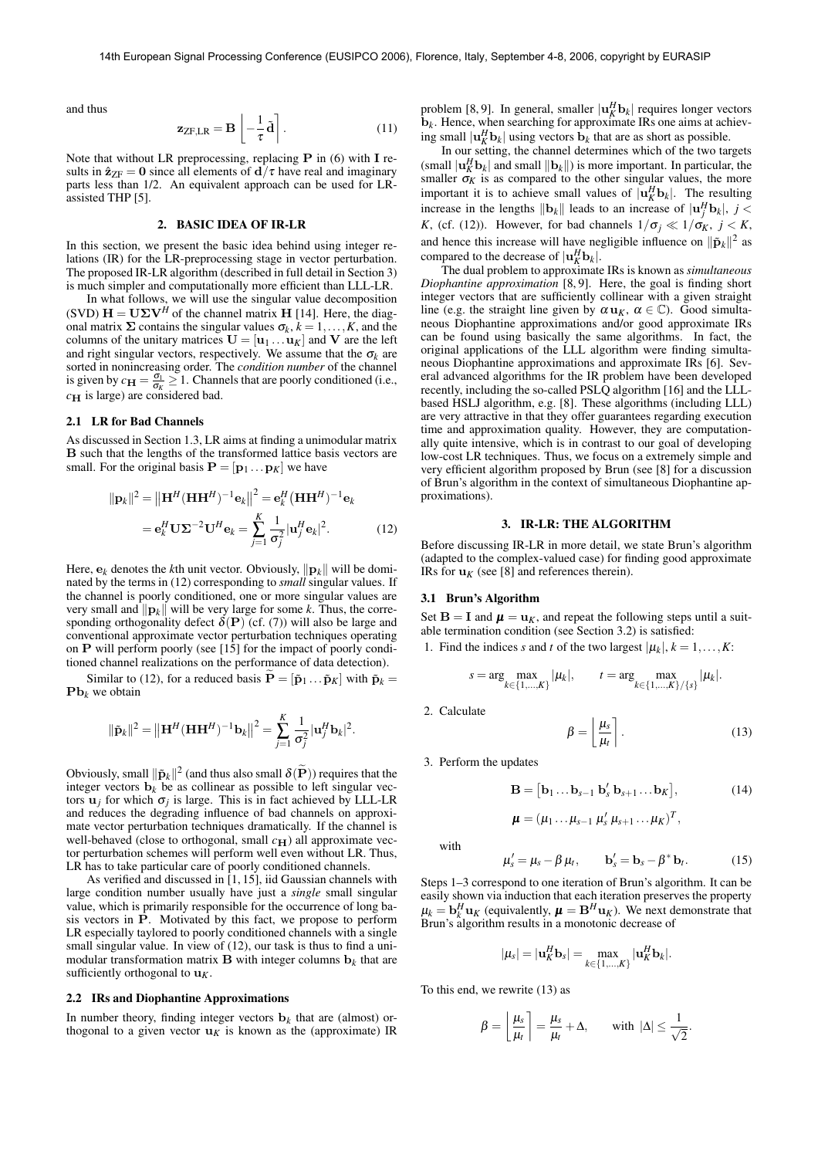and thus

$$
\mathbf{z}_{\text{ZF},LR} = \mathbf{B} \left[ -\frac{1}{\tau} \tilde{\mathbf{d}} \right]. \tag{11}
$$

Note that without LR preprocessing, replacing  $P$  in (6) with I results in  $\hat{\mathbf{z}}_{\text{ZF}} = \mathbf{0}$  since all elements of  $\mathbf{d}/\tau$  have real and imaginary parts less than 1/2. An equivalent approach can be used for LRassisted THP [5].

# **2. BASIC IDEA OF IR-LR**

In this section, we present the basic idea behind using integer relations (IR) for the LR-preprocessing stage in vector perturbation. The proposed IR-LR algorithm (described in full detail in Section 3) is much simpler and computationally more efficient than LLL-LR.

In what follows, we will use the singular value decomposition (SVD)  $\mathbf{H} = \mathbf{U} \Sigma \mathbf{V}^H$  of the channel matrix **H** [14]. Here, the diagonal matrix  $\Sigma$  contains the singular values  $\sigma_k$ ,  $k = 1, \ldots, K$ , and the columns of the unitary matrices  $\mathbf{U} = [\mathbf{u}_1 \dots \mathbf{u}_K]$  and  $\mathbf{V}$  are the left and right singular vectors, respectively. We assume that the  $\sigma_k$  are sorted in nonincreasing order. The *condition number* of the channel is given by  $c_{\mathbf{H}} = \frac{\sigma_1}{\sigma_K} \ge 1$ . Channels that are poorly conditioned (i.e.,  $c_H$  is large) are considered bad.

## **2.1 LR for Bad Channels**

As discussed in Section 1.3, LR aims at finding a unimodular matrix B such that the lengths of the transformed lattice basis vectors are small. For the original basis  $P = [\mathbf{p}_1 \dots \mathbf{p}_K]$  we have

$$
\|\mathbf{p}_k\|^2 = \|\mathbf{H}^H(\mathbf{H}\mathbf{H}^H)^{-1}\mathbf{e}_k\|^2 = \mathbf{e}_k^H(\mathbf{H}\mathbf{H}^H)^{-1}\mathbf{e}_k
$$

$$
= \mathbf{e}_k^H \mathbf{U} \Sigma^{-2} \mathbf{U}^H \mathbf{e}_k = \sum_{j=1}^K \frac{1}{\sigma_j^2} |\mathbf{u}_j^H \mathbf{e}_k|^2. \tag{12}
$$

Here,  $e_k$  denotes the *k*th unit vector. Obviously,  $\|\mathbf{p}_k\|$  will be dominated by the terms in (12) corresponding to *small* singular values. If the channel is poorly conditioned, one or more singular values are very small and  $\|\mathbf{p}_k\|$  will be very large for some *k*. Thus, the corresponding orthogonality defect  $\delta(P)$  (cf. (7)) will also be large and conventional approximate vector perturbation techniques operating on  $P$  will perform poorly (see [15] for the impact of poorly conditioned channel realizations on the performance of data detection).

Similar to (12), for a reduced basis  $\mathbf{P} = [\tilde{\mathbf{p}}_1 \dots \tilde{\mathbf{p}}_K]$  with  $\tilde{\mathbf{p}}_k =$  $\mathbf{Pb}_k$  we obtain

$$
\|\tilde{\mathbf{p}}_k\|^2 = \left\|\mathbf{H}^H(\mathbf{H}\mathbf{H}^H)^{-1}\mathbf{b}_k\right\|^2 = \sum_{j=1}^K \frac{1}{\sigma_j^2} |\mathbf{u}_j^H \mathbf{b}_k|^2.
$$

Obviously, small  $\|\tilde{\mathbf{p}}_k\|^2$  (and thus also small  $\delta(\tilde{\mathbf{P}})$ ) requires that the integer vectors  $\mathbf{b}_k$  be as collinear as possible to left singular vectors  $\mathbf{u}_j$  for which  $\sigma_j$  is large. This is in fact achieved by LLL-LR and reduces the degrading influence of bad channels on approximate vector perturbation techniques dramatically. If the channel is well-behaved (close to orthogonal, small  $c_H$ ) all approximate vector perturbation schemes will perform well even without LR. Thus, LR has to take particular care of poorly conditioned channels.

As verified and discussed in [1, 15], iid Gaussian channels with large condition number usually have just a *single* small singular value, which is primarily responsible for the occurrence of long basis vectors in P. Motivated by this fact, we propose to perform LR especially taylored to poorly conditioned channels with a single small singular value. In view of (12), our task is thus to find a unimodular transformation matrix  $\bf{B}$  with integer columns  $\bf{b}_k$  that are sufficiently orthogonal to u*K*.

# **2.2 IRs and Diophantine Approximations**

In number theory, finding integer vectors  $\mathbf{b}_k$  that are (almost) orthogonal to a given vector  $\mathbf{u}_K$  is known as the (approximate) IR problem [8, 9]. In general, smaller  $|\mathbf{u}_k^H \mathbf{b}_k|$  requires longer vectors **. Hence, when searching for approximate IRs one aims at achiev**ing small  $|\mathbf{u}_K^H \mathbf{b}_k|$  using vectors  $\mathbf{b}_k$  that are as short as possible.

In our setting, the channel determines which of the two targets (small  $|\mathbf{u}_K^H \mathbf{b}_k|$  and small  $||\mathbf{b}_k||$ ) is more important. In particular, the smaller  $\sigma_K$  is as compared to the other singular values, the more important it is to achieve small values of  $|\mathbf{u}_k^H \mathbf{b}_k|$ . The resulting increase in the lengths  $||\mathbf{b}_k||$  leads to an increase of  $|\mathbf{u}_j^H\mathbf{b}_k|, j <$ *K*, (cf. (12)). However, for bad channels  $1/\sigma_i \ll 1/\sigma_K$ ,  $j < K$ , and hence this increase will have negligible influence on  $\|\tilde{\mathbf{p}}_k\|^2$  as compared to the decrease of  $|\mathbf{u}_K^H \mathbf{b}_k|$ .

The dual problem to approximate IRs is known as *simultaneous Diophantine approximation* [8, 9]. Here, the goal is finding short integer vectors that are sufficiently collinear with a given straight line (e.g. the straight line given by  $\alpha \mathbf{u}_K$ ,  $\alpha \in \mathbb{C}$ ). Good simultaneous Diophantine approximations and/or good approximate IRs can be found using basically the same algorithms. In fact, the original applications of the LLL algorithm were finding simultaneous Diophantine approximations and approximate IRs [6]. Several advanced algorithms for the IR problem have been developed recently, including the so-called PSLQ algorithm [16] and the LLLbased HSLJ algorithm, e.g. [8]. These algorithms (including LLL) are very attractive in that they offer guarantees regarding execution time and approximation quality. However, they are computationally quite intensive, which is in contrast to our goal of developing low-cost LR techniques. Thus, we focus on a extremely simple and very efficient algorithm proposed by Brun (see [8] for a discussion of Brun's algorithm in the context of simultaneous Diophantine approximations).

#### **3. IR-LR: THE ALGORITHM**

Before discussing IR-LR in more detail, we state Brun's algorithm (adapted to the complex-valued case) for finding good approximate IRs for  $\mathbf{u}_K$  (see [8] and references therein).

# **3.1 Brun's Algorithm**

Set  $B = I$  and  $\mu = u_K$ , and repeat the following steps until a suitable termination condition (see Section 3.2) is satisfied:

1. Find the indices *s* and *t* of the two largest  $|\mu_k|, k = 1, \ldots, K$ :

$$
s = \arg\max_{k \in \{1,\ldots,K\}} |\mu_k|, \qquad t = \arg\max_{k \in \{1,\ldots,K\}/\{s\}} |\mu_k|.
$$

 $\boldsymbol{\mu} = (\mu_1 \ldots \mu_{s-1} \mu_s' \mu_{s+1} \ldots \mu_K)^T,$ 

2. Calculate

with

$$
\beta = \left\lfloor \frac{\mu_s}{\mu_t} \right\rfloor. \tag{13}
$$

3. Perform the updates

$$
\mathbf{B} = [\mathbf{b}_1 \dots \mathbf{b}_{s-1} \ \mathbf{b}'_s \ \mathbf{b}_{s+1} \dots \mathbf{b}_K], \tag{14}
$$

$$
\mu'_{s} = \mu_{s} - \beta \mu_{t}, \qquad \mathbf{b}'_{s} = \mathbf{b}_{s} - \beta^{*} \mathbf{b}_{t}. \tag{15}
$$

Steps 1–3 correspond to one iteration of Brun's algorithm. It can be easily shown via induction that each iteration preserves the property  $\mu_k = \mathbf{b}_k^H \mathbf{u}_K$  (equivalently,  $\boldsymbol{\mu} = \mathbf{B}^H \mathbf{u}_K$ ). We next demonstrate that Brun's algorithm results in a monotonic decrease of

$$
|\mu_s|=|\mathbf{u}_K^H\mathbf{b}_s|=\max_{k\in\{1,\ldots,K\}}|\mathbf{u}_K^H\mathbf{b}_k|.
$$

To this end, we rewrite (13) as

$$
\beta = \left\lfloor \frac{\mu_s}{\mu_t} \right\rceil = \frac{\mu_s}{\mu_t} + \Delta, \quad \text{with } |\Delta| \le \frac{1}{\sqrt{2}}.
$$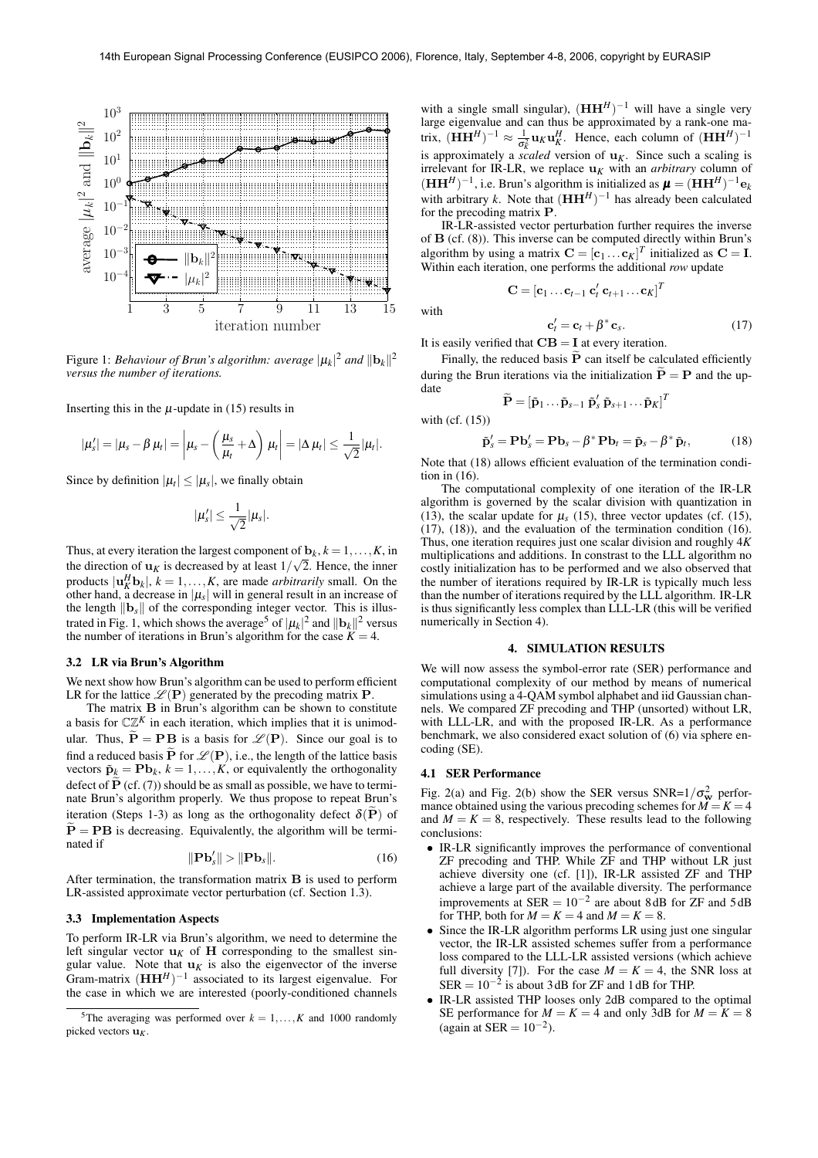

Figure 1: *Behaviour of Brun's algorithm: average*  $|\mu_k|^2$  *and*  $||\mathbf{b}_k||^2$ *versus the number of iterations.*

Inserting this in the  $\mu$ -update in (15) results in

$$
|\mu_s'| = |\mu_s - \beta \mu_t| = \left|\mu_s - \left(\frac{\mu_s}{\mu_t} + \Delta\right) \mu_t\right| = |\Delta \mu_t| \leq \frac{1}{\sqrt{2}}|\mu_t|.
$$

Since by definition  $|\mu_t| \leq |\mu_s|$ , we finally obtain

$$
|\mu_s'|\leq \frac{1}{\sqrt{2}}|\mu_s|.
$$

Thus, at every iteration the largest component of  $\mathbf{b}_k$ ,  $k = 1, \ldots, K$ , in the direction of  $\mathbf{u}_K$  is decreased by at least  $1/\sqrt{2}$ . Hence, the inner products  $|\mathbf{u}_K^H \mathbf{b}_k|, k = 1, \dots, K$ , are made *arbitrarily* small. On the other hand, a decrease in  $|\mu_s|$  will in general result in an increase of the length  $\|\mathbf{b}_s\|$  of the corresponding integer vector. This is illustrated in Fig. 1, which shows the average<sup>5</sup> of  $|\mu_k|^2$  and  $||\mathbf{b}_k||^2$  versus the number of iterations in Brun's algorithm for the case  $K = 4$ .

#### **3.2 LR via Brun's Algorithm**

We next show how Brun's algorithm can be used to perform efficient LR for the lattice  $\mathscr{L}(\mathbf{P})$  generated by the precoding matrix **P**.

The matrix B in Brun's algorithm can be shown to constitute a basis for  $\mathbb{C}\mathbb{Z}^K$  in each iteration, which implies that it is unimodular. Thus,  $\tilde{\mathbf{P}} = \mathbf{P} \mathbf{B}$  is a basis for  $\mathcal{L}(\mathbf{P})$ . Since our goal is to find a reduced basis **P** for  $\mathcal{L}(\mathbf{P})$ , i.e., the length of the lattice basis vectors  $\tilde{\mathbf{p}}_k = \mathbf{P} \mathbf{b}_k$ ,  $k = 1, ..., K$ , or equivalently the orthogonality defect of  $\widetilde{P}$  (cf. (7)) should be as small as possible, we have to terminate Brun's algorithm properly. We thus propose to repeat Brun's iteration (Steps 1-3) as long as the orthogonality defect  $\delta(\mathbf{P})$  of  $P = PB$  is decreasing. Equivalently, the algorithm will be terminated if

$$
\|\mathbf{P}\mathbf{b}'_{s}\| > \|\mathbf{P}\mathbf{b}_{s}\|.\tag{16}
$$

After termination, the transformation matrix B is used to perform LR-assisted approximate vector perturbation (cf. Section 1.3).

# **3.3 Implementation Aspects**

To perform IR-LR via Brun's algorithm, we need to determine the left singular vector  $\mathbf{u}_K$  of **H** corresponding to the smallest singular value. Note that  $\mathbf{u}_K$  is also the eigenvector of the inverse Gram-matrix  $(HH^H)^{-1}$  associated to its largest eigenvalue. For the case in which we are interested (poorly-conditioned channels

with a single small singular),  $(HH<sup>H</sup>)<sup>-1</sup>$  will have a single very large eigenvalue and can thus be approximated by a rank-one matrix,  $(\mathbf{H}\mathbf{H}^H)^{-1} \approx \frac{1}{\sigma_K^2} \mathbf{u}_K \mathbf{u}_K^H$ . Hence, each column of  $(\mathbf{H}\mathbf{H}^H)^{-1}$ is approximately a *scaled* version of  $\mathbf{u}_K$ . Since such a scaling is irrelevant for IR-LR, we replace  $\mathbf{u}_K$  with an *arbitrary* column of  $(\mathbf{HH}^H)^{-1}$ , i.e. Brun's algorithm is initialized as  $\boldsymbol{\mu} = (\mathbf{HH}^H)^{-1} \mathbf{e}_k$ with arbitrary *k*. Note that  $(\mathbf{HH}^H)^{-1}$  has already been calculated for the precoding matrix P.

IR-LR-assisted vector perturbation further requires the inverse of B (cf. (8)). This inverse can be computed directly within Brun's algorithm by using a matrix  $\mathbf{C} = [\mathbf{c}_1 \dots \mathbf{c}_K]^T$  initialized as  $\mathbf{C} = \mathbf{I}$ . Within each iteration, one performs the additional *row* update

 $\mathbf{C} = [\mathbf{c}_1 \dots \mathbf{c}_{t-1} \; \mathbf{c}'_t \; \mathbf{c}_{t+1} \dots \mathbf{c}_K]^T$ 

with

$$
\mathbf{c}'_t = \mathbf{c}_t + \beta^* \mathbf{c}_s. \tag{17}
$$

It is easily verified that  $\mathbf{CB} = \mathbf{I}$  at every iteration.

Finally, the reduced basis  $\tilde{P}$  can itself be calculated efficiently during the Brun iterations via the initialization  $\tilde{\mathbf{P}} = \mathbf{P}$  and the update

$$
\widetilde{\mathbf{P}} = \left[\mathbf{\tilde{p}}_1 \ldots \mathbf{\tilde{p}}_{s-1} \; \mathbf{\tilde{p}}_s' \; \mathbf{\tilde{p}}_{s+1} \ldots \mathbf{\tilde{p}}_K \right]^T
$$

with (cf. (15))

$$
\tilde{\mathbf{p}}'_{s} = \mathbf{P}\mathbf{b}'_{s} = \mathbf{P}\mathbf{b}_{s} - \beta^{*}\mathbf{P}\mathbf{b}_{t} = \tilde{\mathbf{p}}_{s} - \beta^{*}\tilde{\mathbf{p}}_{t},
$$
\n(18)

Note that (18) allows efficient evaluation of the termination condition in (16).

The computational complexity of one iteration of the IR-LR algorithm is governed by the scalar division with quantization in (13), the scalar update for  $\mu_s$  (15), three vector updates (cf. (15), (17), (18)), and the evaluation of the termination condition (16). Thus, one iteration requires just one scalar division and roughly 4*K* multiplications and additions. In constrast to the LLL algorithm no costly initialization has to be performed and we also observed that the number of iterations required by IR-LR is typically much less than the number of iterations required by the LLL algorithm. IR-LR is thus significantly less complex than LLL-LR (this will be verified numerically in Section 4).

## **4. SIMULATION RESULTS**

We will now assess the symbol-error rate (SER) performance and computational complexity of our method by means of numerical simulations using a 4-QAM symbol alphabet and iid Gaussian channels. We compared ZF precoding and THP (unsorted) without LR, with LLL-LR, and with the proposed IR-LR. As a performance benchmark, we also considered exact solution of (6) via sphere encoding (SE).

### **4.1 SER Performance**

Fig. 2(a) and Fig. 2(b) show the SER versus SNR= $1/\sigma_{\rm w}^2$  performance obtained using the various precoding schemes for  $\overrightarrow{M} = \overrightarrow{K} = 4$ and  $M = K = 8$ , respectively. These results lead to the following conclusions:

- IR-LR significantly improves the performance of conventional ZF precoding and THP. While ZF and THP without LR just achieve diversity one (cf. [1]), IR-LR assisted ZF and THP achieve a large part of the available diversity. The performance improvements at  $SER = 10^{-2}$  are about 8dB for ZF and 5dB for THP, both for  $M = K = 4$  and  $M = K = 8$ .
- Since the IR-LR algorithm performs LR using just one singular vector, the IR-LR assisted schemes suffer from a performance loss compared to the LLL-LR assisted versions (which achieve full diversity [7]). For the case  $M = K = 4$ , the SNR loss at  $SER = 10^{-2}$  is about 3 dB for ZF and 1 dB for THP.
- IR-LR assisted THP looses only 2dB compared to the optimal SE performance for  $M = K = 4$  and only 3dB for  $M = K = 8$ (again at  $SER = 10^{-2}$ ).

<sup>&</sup>lt;sup>5</sup>The averaging was performed over  $k = 1, ..., K$  and 1000 randomly picked vectors  $\mathbf{u}_K$ .